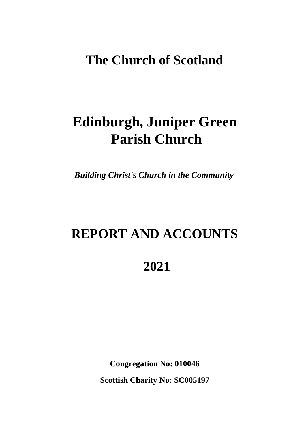# **The Church of Scotland**

# **Edinburgh, Juniper Green Parish Church**

*Building Christ's Church in the Community*

# **REPORT AND ACCOUNTS**

# **2021**

**Congregation No: 010046 Scottish Charity No: SC005197**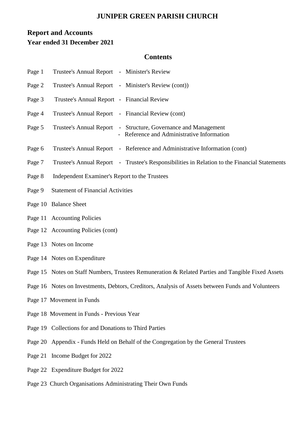# **Report and Accounts Year ended 31 December 2021**

# **Contents**

| Page 1 | Trustee's Annual Report - Minister's Review                                                                  |  |  |  |  |  |
|--------|--------------------------------------------------------------------------------------------------------------|--|--|--|--|--|
| Page 2 | Trustee's Annual Report - Minister's Review (cont))                                                          |  |  |  |  |  |
| Page 3 | Trustee's Annual Report - Financial Review                                                                   |  |  |  |  |  |
| Page 4 | Trustee's Annual Report - Financial Review (cont)                                                            |  |  |  |  |  |
| Page 5 | Trustee's Annual Report - Structure, Governance and Management<br>- Reference and Administrative Information |  |  |  |  |  |
| Page 6 | Trustee's Annual Report - Reference and Administrative Information (cont)                                    |  |  |  |  |  |
| Page 7 | Trustee's Annual Report - Trustee's Responsibilities in Relation to the Financial Statements                 |  |  |  |  |  |
| Page 8 | Independent Examiner's Report to the Trustees                                                                |  |  |  |  |  |
| Page 9 | <b>Statement of Financial Activities</b>                                                                     |  |  |  |  |  |
|        | Page 10 Balance Sheet                                                                                        |  |  |  |  |  |
|        | Page 11 Accounting Policies                                                                                  |  |  |  |  |  |
|        | Page 12 Accounting Policies (cont)                                                                           |  |  |  |  |  |
|        | Page 13 Notes on Income                                                                                      |  |  |  |  |  |
|        | Page 14 Notes on Expenditure                                                                                 |  |  |  |  |  |
|        | Page 15 Notes on Staff Numbers, Trustees Remuneration & Related Parties and Tangible Fixed Assets            |  |  |  |  |  |
|        | Page 16 Notes on Investments, Debtors, Creditors, Analysis of Assets between Funds and Volunteers            |  |  |  |  |  |
|        | Page 17 Movement in Funds                                                                                    |  |  |  |  |  |
|        | Page 18 Movement in Funds - Previous Year                                                                    |  |  |  |  |  |
|        | Page 19 Collections for and Donations to Third Parties                                                       |  |  |  |  |  |
|        | Page 20 Appendix - Funds Held on Behalf of the Congregation by the General Trustees                          |  |  |  |  |  |
|        | Page 21 Income Budget for 2022                                                                               |  |  |  |  |  |
|        | Page 22 Expenditure Budget for 2022                                                                          |  |  |  |  |  |

Page 23 Church Organisations Administrating Their Own Funds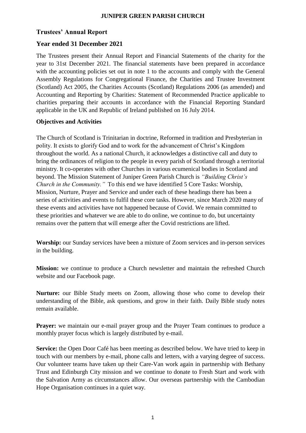# **Trustees' Annual Report**

# **Year ended 31 December 2021**

The Trustees present their Annual Report and Financial Statements of the charity for the year to 31st December 2021. The financial statements have been prepared in accordance with the accounting policies set out in note 1 to the accounts and comply with the General Assembly Regulations for Congregational Finance, the Charities and Trustee Investment (Scotland) Act 2005, the Charities Accounts (Scotland) Regulations 2006 (as amended) and Accounting and Reporting by Charities: Statement of Recommended Practice applicable to charities preparing their accounts in accordance with the Financial Reporting Standard applicable in the UK and Republic of Ireland published on 16 July 2014.

#### **Objectives and Activities**

The Church of Scotland is Trinitarian in doctrine, Reformed in tradition and Presbyterian in polity. It exists to glorify God and to work for the advancement of Christ's Kingdom throughout the world. As a national Church, it acknowledges a distinctive call and duty to bring the ordinances of religion to the people in every parish of Scotland through a territorial ministry. It co-operates with other Churches in various ecumenical bodies in Scotland and beyond. The Mission Statement of Juniper Green Parish Church is *"Building Christ's Church in the Community."* To this end we have identified 5 Core Tasks: Worship, Mission, Nurture, Prayer and Service and under each of these headings there has been a series of activities and events to fulfil these core tasks. However, since March 2020 many of these events and activities have not happened because of Covid. We remain committed to these priorities and whatever we are able to do online, we continue to do, but uncertainty remains over the pattern that will emerge after the Covid restrictions are lifted.

**Worship:** our Sunday services have been a mixture of Zoom services and in-person services in the building.

**Mission:** we continue to produce a Church newsletter and maintain the refreshed Church website and our Facebook page.

**Nurture:** our Bible Study meets on Zoom, allowing those who come to develop their understanding of the Bible, ask questions, and grow in their faith. Daily Bible study notes remain available.

**Prayer:** we maintain our e-mail prayer group and the Prayer Team continues to produce a monthly prayer focus which is largely distributed by e-mail.

**Service:** the Open Door Café has been meeting as described below. We have tried to keep in touch with our members by e-mail, phone calls and letters, with a varying degree of success. Our volunteer teams have taken up their Care-Van work again in partnership with Bethany Trust and Edinburgh City mission and we continue to donate to Fresh Start and work with the Salvation Army as circumstances allow. Our overseas partnership with the Cambodian Hope Organisation continues in a quiet way.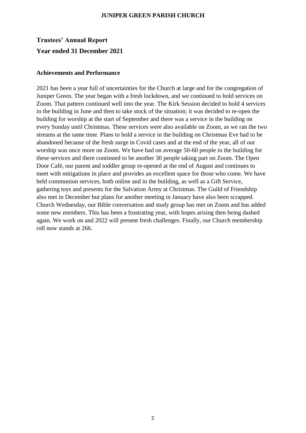# **Trustees' Annual Report Year ended 31 December 2021**

#### **Achievements and Performance**

2021 has been a year full of uncertainties for the Church at large and for the congregation of Juniper Green. The year began with a fresh lockdown, and we continued to hold services on Zoom. That pattern continued well into the year. The Kirk Session decided to hold 4 services in the building in June and then to take stock of the situation; it was decided to re-open the building for worship at the start of September and there was a service in the building on every Sunday until Christmas. These services were also available on Zoom, as we ran the two streams at the same time. Plans to hold a service in the building on Christmas Eve had to be abandoned because of the fresh surge in Covid cases and at the end of the year, all of our worship was once more on Zoom. We have had on average 50-60 people in the building for these services and there continued to be another 30 people taking part on Zoom. The Open Door Café, our parent and toddler group re-opened at the end of August and continues to meet with mitigations in place and provides an excellent space for those who come. We have held communion services, both online and in the building, as well as a Gift Service, gathering toys and presents for the Salvation Army at Christmas. The Guild of Friendship also met in December but plans for another meeting in January have also been scrapped. Church Wednesday, our Bible conversation and study group has met on Zoom and has added some new members. This has been a frustrating year, with hopes arising then being dashed again. We work on and 2022 will present fresh challenges. Finally, our Church membership roll now stands at 266.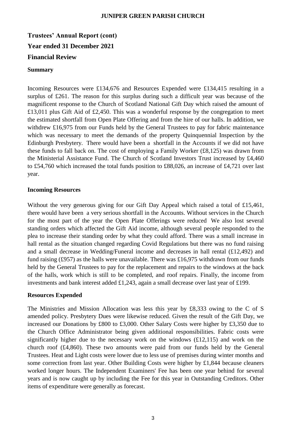**Trustees' Annual Report (cont) Year ended 31 December 2021 Financial Review**

#### **Summary**

Incoming Resources were £134,676 and Resources Expended were £134,415 resulting in a surplus of £261. The reason for this surplus during such a difficult year was because of the magnificent response to the Church of Scotland National Gift Day which raised the amount of £13,011 plus Gift Aid of £2,450. This was a wonderful response by the congregation to meet the estimated shortfall from Open Plate Offering and from the hire of our halls. In addition, we withdrew £16,975 from our Funds held by the General Trustees to pay for fabric maintenance which was necessary to meet the demands of the property Quinquennial Inspection by the Edinburgh Presbytery. There would have been a shortfall in the Accounts if we did not have these funds to fall back on. The cost of employing a Family Worker (£8,125) was drawn from the Ministerial Assistance Fund. The Church of Scotland Investors Trust increased by £4,460 to £54,760 which increased the total funds position to £88,026, an increase of £4,721 over last year.

#### **Incoming Resources**

Without the very generous giving for our Gift Day Appeal which raised a total of £15,461, there would have been a very serious shortfall in the Accounts. Without services in the Church for the most part of the year the Open Plate Offerings were reduced We also lost several standing orders which affected the Gift Aid income, although several people responded to the plea to increase their standing order by what they could afford. There was a small increase in hall rental as the situation changed regarding Covid Regulations but there was no fund raising and a small decrease in Wedding/Funeral income and decreases in hall rental (£12,492) and fund raising (£957) as the halls were unavailable. There was £16,975 withdrawn from our funds held by the General Trustees to pay for the replacement and repairs to the windows at the back of the halls, work which is still to be completed, and roof repairs. Finally, the income from investments and bank interest added £1,243, again a small decrease over last year of £199.

#### **Resources Expended**

The Ministries and Mission Allocation was less this year by £8,333 owing to the C of S amended policy. Presbytery Dues were likewise reduced. Given the result of the Gift Day, we increased our Donations by £800 to £3,000. Other Salary Costs were higher by £3,350 due to the Church Office Administrator being given additional responsibilities. Fabric costs were significantly higher due to the necessary work on the windows  $(E12,115)$  and work on the church roof (£4,860). These two amounts were paid from our funds held by the General Trustees. Heat and Light costs were lower due to less use of premises during winter months and some correction from last year. Other Building Costs were higher by £1,844 because cleaners worked longer hours. The Independent Examiners' Fee has been one year behind for several years and is now caught up by including the Fee for this year in Outstanding Creditors. Other items of expenditure were generally as forecast.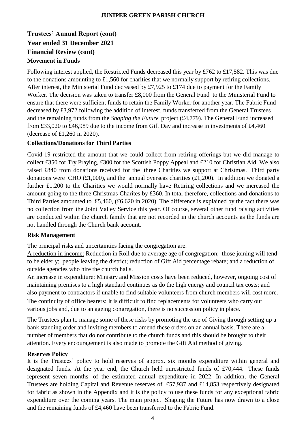# **Trustees' Annual Report (cont) Year ended 31 December 2021 Financial Review (cont) Movement in Funds**

Following interest applied, the Restricted Funds decreased this year by £762 to £17,582. This was due to the donations amounting to £1,560 for charities that we normally support by retiring collections. After interest, the Ministerial Fund decreased by £7,925 to £174 due to payment for the Family Worker. The decision was taken to transfer £8,000 from the General Fund to the Ministerial Fund to ensure that there were sufficient funds to retain the Family Worker for another year. The Fabric Fund decreased by £3,972 following the addition of interest, funds transferred from the General Trustees and the remaining funds from the *Shaping the Future* project (£4,779). The General Fund increased from £33,020 to £46,989 due to the income from Gift Day and increase in investments of £4,460 (decrease of £1,260 in 2020).

#### **Collections/Donations for Third Parties**

Covid-19 restricted the amount that we could collect from retiring offerings but we did manage to collect £350 for Try Praying, £300 for the Scottish Poppy Appeal and £210 for Christian Aid. We also raised £840 from donations received for the three Charities we support at Christmas. Third party donations were CHO (£1,000), and the annual overseas charities (£1,200). In addition we donated a further £1.200 to the Charities we would normally have Retiring collections and we increased the amount going to the three Christmas Charites by £360. In total therefore, collections and donations to Third Parties amounted to £5,460, (£6,620 in 2020). The difference is explained by the fact there was no collection from the Joint Valley Service this year. Of course, several other fund raising activities are conducted within the church family that are not recorded in the church accounts as the funds are not handled through the Church bank account.

#### **Risk Management**

The principal risks and uncertainties facing the congregation are:

A reduction in income: Reduction in Roll due to average age of congregation; those joining will tend to be elderly; people leaving the district; reduction of Gift Aid percentage rebate; and a reduction of outside agencies who hire the church halls.

An increase in expenditure: Ministry and Mission costs have been reduced, however, ongoing cost of maintaining premises to a high standard continues as do the high energy and council tax costs; and also payment to contractors if unable to find suitable volunteers from church members will cost more. The continuity of office bearers: It is difficult to find replacements for volunteers who carry out various jobs and, due to an ageing congregation, there is no succession policy in place.

The Trustees plan to manage some of these risks by promoting the use of Giving through setting up a bank standing order and inviting members to amend these orders on an annual basis. There are a number of members that do not contribute to the church funds and this should be brought to their attention. Every encouragement is also made to promote the Gift Aid method of giving.

#### **Reserves Policy**

It is the Trustees' policy to hold reserves of approx. six months expenditure within general and designated funds. At the year end, the Church held unrestricted funds of £70,444. These funds represent seven months of the estimated annual expenditure in 2022. In addition, the General Trustees are holding Capital and Revenue reserves of £57,937 and £14,853 respectively designated for fabric as shown in the Appendix and it is the policy to use these funds for any exceptional fabric expenditure over the coming years. The main project Shaping the Future has now drawn to a close and the remaining funds of £4,460 have been transferred to the Fabric Fund.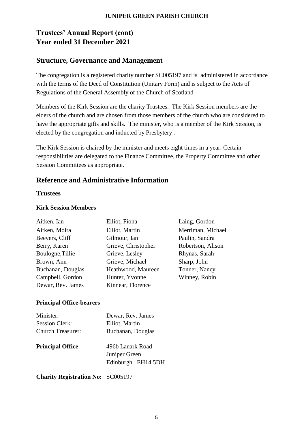# **Trustees' Annual Report (cont) Year ended 31 December 2021**

# **Structure, Governance and Management**

The congregation is a registered charity number SC005197 and is administered in accordance with the terms of the Deed of Constitution (Unitary Form) and is subject to the Acts of Regulations of the General Assembly of the Church of Scotland

Members of the Kirk Session are the charity Trustees. The Kirk Session members are the elders of the church and are chosen from those members of the church who are considered to have the appropriate gifts and skills. The minister, who is a member of the Kirk Session, is elected by the congregation and inducted by Presbytery .

The Kirk Session is chaired by the minister and meets eight times in a year. Certain responsibilities are delegated to the Finance Committee, the Property Committee and other Session Committees as appropriate.

# **Reference and Administrative Information**

# **Trustees**

# **Kirk Session Members**

| Aitken, Ian       | Elliot, Fiona       | Laing, Gordon     |
|-------------------|---------------------|-------------------|
| Aitken, Moira     | Elliot, Martin      | Merriman, Michael |
| Beevers, Cliff    | Gilmour, Ian        | Paulin, Sandra    |
| Berry, Karen      | Grieve, Christopher | Robertson, Alison |
| Boulogne, Tillie  | Grieve, Lesley      | Rhynas, Sarah     |
| Brown, Ann        | Grieve, Michael     | Sharp, John       |
| Buchanan, Douglas | Heathwood, Maureen  | Tonner, Nancy     |
| Campbell, Gordon  | Hunter, Yvonne      | Winney, Robin     |
| Dewar, Rev. James | Kinnear, Florence   |                   |
|                   |                     |                   |

# **Principal Office-bearers**

| Minister:                | Dewar, Rev. James                                       |
|--------------------------|---------------------------------------------------------|
| <b>Session Clerk:</b>    | Elliot, Martin                                          |
| <b>Church Treasurer:</b> | Buchanan, Douglas                                       |
| <b>Principal Office</b>  | 496b Lanark Road<br>Juniper Green<br>Edinburgh EH14 5DH |

**Charity Registration No:** SC005197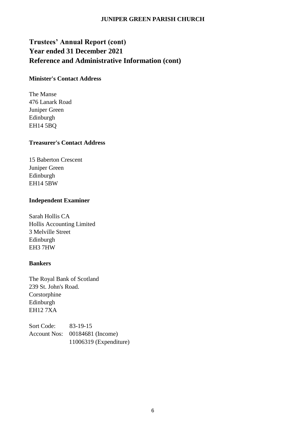# **Trustees' Annual Report (cont) Year ended 31 December 2021 Reference and Administrative Information (cont)**

#### **Minister's Contact Address**

The Manse 476 Lanark Road Juniper Green Edinburgh EH14 5BQ

## **Treasurer's Contact Address**

15 Baberton Crescent Juniper Green Edinburgh EH14 5BW

## **Independent Examiner**

Sarah Hollis CA Hollis Accounting Limited 3 Melville Street Edinburgh EH3 7HW

#### **Bankers**

The Royal Bank of Scotland 239 St. John's Road. Corstorphine Edinburgh EH12 7XA

Sort Code: 83-19-15 Account Nos: 00184681 (Income) 11006319 (Expenditure)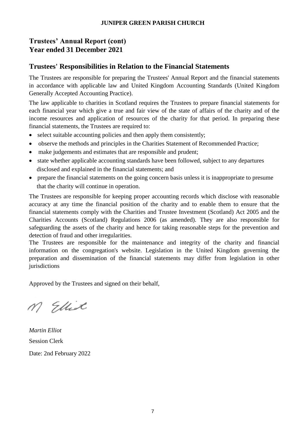# **Trustees' Annual Report (cont) Year ended 31 December 2021**

# **Trustees' Responsibilities in Relation to the Financial Statements**

The Trustees are responsible for preparing the Trustees' Annual Report and the financial statements in accordance with applicable law and United Kingdom Accounting Standards (United Kingdom Generally Accepted Accounting Practice).

The law applicable to charities in Scotland requires the Trustees to prepare financial statements for each financial year which give a true and fair view of the state of affairs of the charity and of the income resources and application of resources of the charity for that period. In preparing these financial statements, the Trustees are required to:

- select suitable accounting policies and then apply them consistently;
- observe the methods and principles in the Charities Statement of Recommended Practice;
- make judgements and estimates that are responsible and prudent;
- state whether applicable accounting standards have been followed, subject to any departures disclosed and explained in the financial statements; and
- prepare the financial statements on the going concern basis unless it is inappropriate to presume that the charity will continue in operation.

The Trustees are responsible for keeping proper accounting records which disclose with reasonable accuracy at any time the financial position of the charity and to enable them to ensure that the financial statements comply with the Charities and Trustee Investment (Scotland) Act 2005 and the Charities Accounts (Scotland) Regulations 2006 (as amended). They are also responsible for safeguarding the assets of the charity and hence for taking reasonable steps for the prevention and detection of fraud and other irregularities.

The Trustees are responsible for the maintenance and integrity of the charity and financial information on the congregation's website. Legislation in the United Kingdom governing the preparation and dissemination of the financial statements may differ from legislation in other jurisdictions

Approved by the Trustees and signed on their behalf,

M Ellist

*Martin Elliot* Session Clerk Date: 2nd February 2022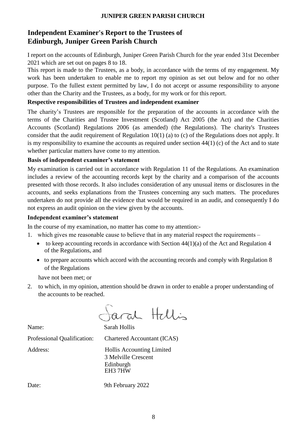# **Independent Examiner's Report to the Trustees of Edinburgh, Juniper Green Parish Church**

I report on the accounts of Edinburgh, Juniper Green Parish Church for the year ended 31st December 2021 which are set out on pages 8 to 18.

This report is made to the Trustees, as a body, in accordance with the terms of my engagement. My work has been undertaken to enable me to report my opinion as set out below and for no other purpose. To the fullest extent permitted by law, I do not accept or assume responsibility to anyone other than the Charity and the Trustees, as a body, for my work or for this report.

## **Respective responsibilities of Trustees and independent examiner**

The charity's Trustees are responsible for the preparation of the accounts in accordance with the terms of the Charities and Trustee Investment (Scotland) Act 2005 (the Act) and the Charities Accounts (Scotland) Regulations 2006 (as amended) (the Regulations). The charity's Trustees consider that the audit requirement of Regulation 10(1) (a) to (c) of the Regulations does not apply. It is my responsibility to examine the accounts as required under section 44(1) (c) of the Act and to state whether particular matters have come to my attention.

## **Basis of independent examiner's statement**

My examination is carried out in accordance with Regulation 11 of the Regulations. An examination includes a review of the accounting records kept by the charity and a comparison of the accounts presented with those records. It also includes consideration of any unusual items or disclosures in the accounts, and seeks explanations from the Trustees concerning any such matters. The procedures undertaken do not provide all the evidence that would be required in an audit, and consequently I do not express an audit opinion on the view given by the accounts.

#### **Independent examiner's statement**

In the course of my examination, no matter has come to my attention:-

- 1. which gives me reasonable cause to believe that in any material respect the requirements
	- to keep accounting records in accordance with Section  $44(1)(a)$  of the Act and Regulation 4 of the Regulations, and
	- to prepare accounts which accord with the accounting records and comply with Regulation 8 of the Regulations

have not been met; or

2. to which, in my opinion, attention should be drawn in order to enable a proper understanding of the accounts to be reached.

aral Hellis

Name: Sarah Hollis Professional Qualification: Chartered Accountant (ICAS) Address: Hollis Accounting Limited 3 Melville Crescent Edinburgh

Date: 9th February 2022

EH3 7HW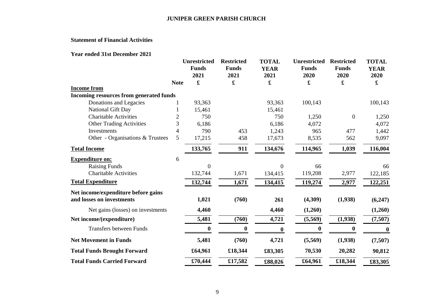## **Statement of Financial Activities**

#### **Year ended 31st December 2021**

|                                         |                | <b>Unrestricted</b>  | <b>Restricted</b>    | <b>TOTAL</b>        | <b>Unrestricted</b>  | <b>Restricted</b>    | <b>TOTAL</b>        |
|-----------------------------------------|----------------|----------------------|----------------------|---------------------|----------------------|----------------------|---------------------|
|                                         |                | <b>Funds</b><br>2021 | <b>Funds</b><br>2021 | <b>YEAR</b><br>2021 | <b>Funds</b><br>2020 | <b>Funds</b><br>2020 | <b>YEAR</b><br>2020 |
|                                         | <b>Note</b>    | £                    | £                    | £                   | £                    | £                    | £                   |
| <b>Income from</b>                      |                |                      |                      |                     |                      |                      |                     |
| Incoming resources from generated funds |                |                      |                      |                     |                      |                      |                     |
| Donations and Legacies                  |                | 93,363               |                      | 93,363              | 100,143              |                      | 100,143             |
| National Gift Day                       |                | 15,461               |                      | 15,461              |                      |                      |                     |
| <b>Charitable Activities</b>            | $\overline{2}$ | 750                  |                      | 750                 | 1,250                | $\boldsymbol{0}$     | 1,250               |
| <b>Other Trading Activities</b>         | 3              | 6,186                |                      | 6,186               | 4,072                |                      | 4,072               |
| Investments                             | 4              | 790                  | 453                  | 1,243               | 965                  | 477                  | 1,442               |
| Other - Organisations & Trustees        | 5              | 17,215               | 458                  | 17,673              | 8,535                | 562                  | 9,097               |
| <b>Total Income</b>                     |                | 133,765              | 911                  | 134,676             | 114,965              | 1,039                | 116,004             |
| <b>Expenditure on:</b>                  | 6              |                      |                      |                     |                      |                      |                     |
| <b>Raising Funds</b>                    |                | $\overline{0}$       |                      | $\theta$            | 66                   |                      | 66                  |
| <b>Charitable Activities</b>            |                | 132,744              | 1,671                | 134,415             | 119,208              | 2,977                | 122,185             |
| <b>Total Expenditure</b>                |                | 132,744              | 1,671                | 134,415             | 119,274              | 2,977                | 122,251             |
| Net income/expenditure before gains     |                |                      |                      |                     |                      |                      |                     |
| and losses on investments               |                | 1,021                | (760)                | 261                 | (4,309)              | (1,938)              | (6,247)             |
| Net gains (losses) on investments       |                | 4,460                |                      | 4,460               | (1,260)              |                      | (1,260)             |
| Net income/(expenditure)                |                | 5,481                | (760)                | 4,721               | (5,569)              | (1,938)              | (7,507)             |
| <b>Transfers between Funds</b>          |                | $\boldsymbol{0}$     |                      | 0                   | $\mathbf{0}$         | $\bf{0}$             | $\boldsymbol{0}$    |
| <b>Net Movement in Funds</b>            |                | 5,481                | (760)                | 4,721               | (5,569)              | (1,938)              | (7,507)             |
| <b>Total Funds Brought Forward</b>      |                | £64,961              | £18,344              | £83,305             | 70,530               | 20,282               | 90,812              |
| <b>Total Funds Carried Forward</b>      |                | £70,444              | £17,582              | £88,026             | £64,961              | £18,344              | £83,305             |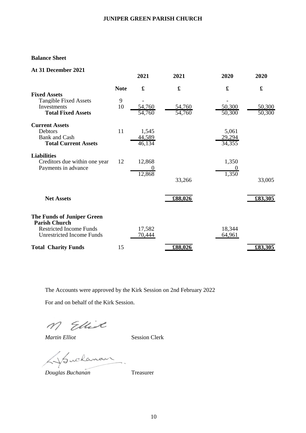#### **Balance Sheet**

| At 31 December 2021                                                                                                      |             | 2021                      | 2021                 | 2020                      | 2020                      |
|--------------------------------------------------------------------------------------------------------------------------|-------------|---------------------------|----------------------|---------------------------|---------------------------|
|                                                                                                                          | <b>Note</b> | $\mathbf f$               | $\pmb{\mathfrak{L}}$ | $\pmb{\mathfrak{L}}$      | $\pmb{\pmb{\pmb{\cdot}}}$ |
| <b>Fixed Assets</b><br><b>Tangible Fixed Assets</b><br>Investments<br><b>Total Fixed Assets</b>                          | 9<br>10     | 54,760<br>54,760          | 54,760<br>54,760     | 50,300<br>50,300          | 50,300<br>50,300          |
| <b>Current Assets</b><br>Debtors<br><b>Bank</b> and Cash<br><b>Total Current Assets</b>                                  | 11          | 1,545<br>44,589<br>46,134 |                      | 5,061<br>29,294<br>34,355 |                           |
| <b>Liabilities</b><br>Creditors due within one year<br>Payments in advance                                               | 12          | 12,868<br>12,868          | 33,266               | 1,350<br>1,350            | 33,005                    |
| <b>Net Assets</b>                                                                                                        |             |                           | £88,026              |                           | £83,305                   |
| The Funds of Juniper Green<br><b>Parish Church</b><br><b>Restricted Income Funds</b><br><b>Unrestricted Income Funds</b> |             | 17,582<br>70,444          |                      | 18,344<br>64,961          |                           |
| <b>Total Charity Funds</b>                                                                                               | 15          |                           | £88,026              |                           | £83,305                   |

The Accounts were approved by the Kirk Session on 2nd February 2022

For and on behalf of the Kirk Session.

M Ellist

*Martin Elliot* Session Clerk

Suchanan.

*Douglas Buchanan* Treasurer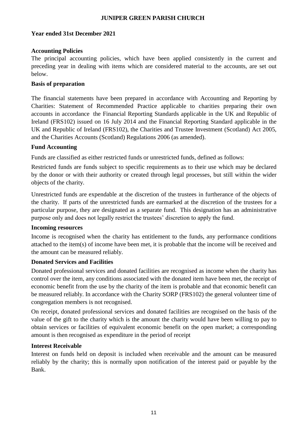#### **Year ended 31st December 2021**

#### **Accounting Policies**

The principal accounting policies, which have been applied consistently in the current and preceding year in dealing with items which are considered material to the accounts, are set out below.

#### **Basis of preparation**

The financial statements have been prepared in accordance with Accounting and Reporting by Charities: Statement of Recommended Practice applicable to charities preparing their own accounts in accordance the Financial Reporting Standards applicable in the UK and Republic of Ireland (FRS102) issued on 16 July 2014 and the Financial Reporting Standard applicable in the UK and Republic of Ireland (FRS102), the Charities and Trustee Investment (Scotland) Act 2005, and the Charities Accounts (Scotland) Regulations 2006 (as amended).

## **Fund Accounting**

Funds are classified as either restricted funds or unrestricted funds, defined as follows:

Restricted funds are funds subject to specific requirements as to their use which may be declared by the donor or with their authority or created through legal processes, but still within the wider objects of the charity.

Unrestricted funds are expendable at the discretion of the trustees in furtherance of the objects of the charity. If parts of the unrestricted funds are earmarked at the discretion of the trustees for a particular purpose, they are designated as a separate fund. This designation has an administrative purpose only and does not legally restrict the trustees' discretion to apply the fund.

#### **Incoming resources**

Income is recognised when the charity has entitlement to the funds, any performance conditions attached to the item(s) of income have been met, it is probable that the income will be received and the amount can be measured reliably.

## **Donated Services and Facilities**

Donated professional services and donated facilities are recognised as income when the charity has control over the item, any conditions associated with the donated item have been met, the receipt of economic benefit from the use by the charity of the item is probable and that economic benefit can be measured reliably. In accordance with the Charity SORP (FRS102) the general volunteer time of congregation members is not recognised.

On receipt, donated professional services and donated facilities are recognised on the basis of the value of the gift to the charity which is the amount the charity would have been willing to pay to obtain services or facilities of equivalent economic benefit on the open market; a corresponding amount is then recognised as expenditure in the period of receipt

## **Interest Receivable**

Interest on funds held on deposit is included when receivable and the amount can be measured reliably by the charity; this is normally upon notification of the interest paid or payable by the Bank.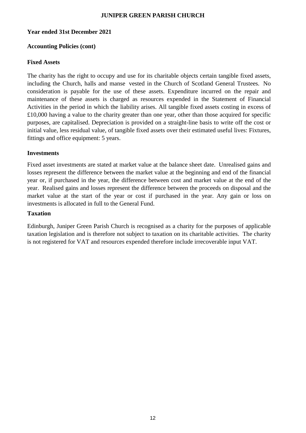#### **Year ended 31st December 2021**

#### **Accounting Policies (cont)**

#### **Fixed Assets**

The charity has the right to occupy and use for its charitable objects certain tangible fixed assets, including the Church, halls and manse vested in the Church of Scotland General Trustees. No consideration is payable for the use of these assets. Expenditure incurred on the repair and maintenance of these assets is charged as resources expended in the Statement of Financial Activities in the period in which the liability arises. All tangible fixed assets costing in excess of £10,000 having a value to the charity greater than one year, other than those acquired for specific purposes, are capitalised. Depreciation is provided on a straight-line basis to write off the cost or initial value, less residual value, of tangible fixed assets over their estimated useful lives: Fixtures, fittings and office equipment: 5 years.

#### **Investments**

Fixed asset investments are stated at market value at the balance sheet date. Unrealised gains and losses represent the difference between the market value at the beginning and end of the financial year or, if purchased in the year, the difference between cost and market value at the end of the year. Realised gains and losses represent the difference between the proceeds on disposal and the market value at the start of the year or cost if purchased in the year. Any gain or loss on investments is allocated in full to the General Fund.

#### **Taxation**

Edinburgh, Juniper Green Parish Church is recognised as a charity for the purposes of applicable taxation legislation and is therefore not subject to taxation on its charitable activities. The charity is not registered for VAT and resources expended therefore include irrecoverable input VAT.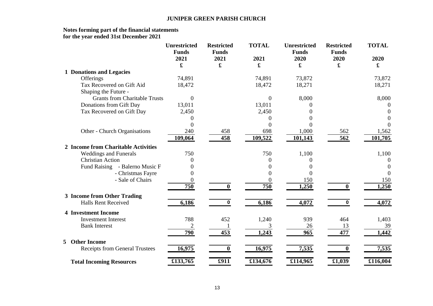#### **Notes forming part of the financial statements for the year ended 31st December 2021**

|   |                                       | <b>Unrestricted</b><br><b>Funds</b><br>2021<br>£ | <b>Restricted</b><br><b>Funds</b><br>2021<br>$\mathbf f$ | <b>TOTAL</b><br>2021<br>$\mathbf f$ | <b>Unrestricted</b><br><b>Funds</b><br>2020<br>$\pmb{\mathfrak{L}}$ | <b>Restricted</b><br><b>Funds</b><br>2020<br>£ | <b>TOTAL</b><br>2020<br>$\mathbf f$ |
|---|---------------------------------------|--------------------------------------------------|----------------------------------------------------------|-------------------------------------|---------------------------------------------------------------------|------------------------------------------------|-------------------------------------|
|   | <b>1 Donations and Legacies</b>       |                                                  |                                                          |                                     |                                                                     |                                                |                                     |
|   | Offerings                             | 74,891                                           |                                                          | 74,891                              | 73,872                                                              |                                                | 73,872                              |
|   | Tax Recovered on Gift Aid             | 18,472                                           |                                                          | 18,472                              | 18,271                                                              |                                                | 18,271                              |
|   | Shaping the Future -                  |                                                  |                                                          |                                     |                                                                     |                                                |                                     |
|   | <b>Grants from Charitable Trusts</b>  | $\theta$                                         |                                                          | $\theta$                            | 8,000                                                               |                                                | 8,000                               |
|   | Donations from Gift Day               | 13,011                                           |                                                          | 13,011                              |                                                                     |                                                | 0                                   |
|   | Tax Recovered on Gift Day             | 2,450                                            |                                                          | 2,450                               |                                                                     |                                                | $\Omega$                            |
|   |                                       | $\theta$                                         |                                                          | 0                                   |                                                                     |                                                | 0                                   |
|   |                                       | $\mathbf{\Omega}$                                |                                                          |                                     |                                                                     |                                                | $\Omega$                            |
|   | Other - Church Organisations          | 240                                              | 458                                                      | 698                                 | 1,000                                                               | 562                                            | 1,562                               |
|   |                                       | 109,064                                          | 458                                                      | 109,522                             | 101,143                                                             | 562                                            | 101,705                             |
|   | 2 Income from Charitable Activities   |                                                  |                                                          |                                     |                                                                     |                                                |                                     |
|   | <b>Weddings and Funerals</b>          | 750                                              |                                                          | 750                                 | 1,100                                                               |                                                | 1,100                               |
|   | <b>Christian Action</b>               | 0                                                |                                                          | $\Omega$                            | $\theta$                                                            |                                                | $\Omega$                            |
|   | Fund Raising - Balerno Music F        |                                                  |                                                          | 0                                   | $\theta$                                                            |                                                | $\Omega$                            |
|   | - Christmas Fayre                     |                                                  |                                                          |                                     | $\theta$                                                            |                                                | $\Omega$                            |
|   | - Sale of Chairs                      | $\overline{0}$                                   |                                                          |                                     | 150                                                                 |                                                | 150                                 |
|   |                                       | 750                                              | 0                                                        | 750                                 | 1,250                                                               | 0                                              | 1,250                               |
|   | 3 Income from Other Trading           |                                                  |                                                          |                                     |                                                                     |                                                |                                     |
|   | <b>Halls Rent Received</b>            | 6,186                                            | 0                                                        | 6,186                               | 4,072                                                               | $\bf{0}$                                       | 4,072                               |
|   | <b>4 Investment Income</b>            |                                                  |                                                          |                                     |                                                                     |                                                |                                     |
|   | <b>Investment Interest</b>            | 788                                              | 452                                                      | 1,240                               | 939                                                                 | 464                                            | 1,403                               |
|   | <b>Bank Interest</b>                  | $\overline{2}$                                   |                                                          |                                     | 26                                                                  | 13                                             | 39                                  |
|   |                                       | 790                                              | 453                                                      | 1,243                               | 965                                                                 | 477                                            | 1,442                               |
| 5 | <b>Other Income</b>                   |                                                  |                                                          |                                     |                                                                     |                                                |                                     |
|   | <b>Receipts from General Trustees</b> | 16,975                                           | $\bf{0}$                                                 | 16,975                              | 7,535                                                               | $\mathbf{0}$                                   | 7,535                               |
|   | <b>Total Incoming Resources</b>       | £133,765                                         | £911                                                     | £134,676                            | £114,965                                                            | £1,039                                         | £116,004                            |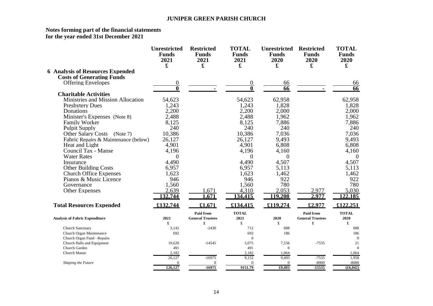#### **Notes forming part of the financial statements for the year ended 31st December 2021**

|                                             | <b>Unrestricted</b><br><b>Funds</b><br>2021<br>£ | <b>Restricted</b><br><b>Funds</b><br>2021<br>£ | <b>TOTAL</b><br><b>Funds</b><br>2021<br>£ | <b>Unrestricted</b><br><b>Funds</b><br>2020<br>£ | <b>Restricted</b><br><b>Funds</b><br>2020<br>£ | <b>TOTAL</b><br><b>Funds</b><br>2020<br>£ |
|---------------------------------------------|--------------------------------------------------|------------------------------------------------|-------------------------------------------|--------------------------------------------------|------------------------------------------------|-------------------------------------------|
| <b>6 Analysis of Resources Expended</b>     |                                                  |                                                |                                           |                                                  |                                                |                                           |
| <b>Costs of Generating Funds</b>            |                                                  |                                                |                                           |                                                  |                                                |                                           |
| <b>Offering Envelopes</b>                   | 0                                                |                                                | $\theta$                                  | 66                                               |                                                | 66                                        |
|                                             | 0                                                |                                                | $\mathbf{0}$                              | $\overline{66}$                                  |                                                | $\overline{66}$                           |
| <b>Charitable Activities</b>                |                                                  |                                                |                                           |                                                  |                                                |                                           |
| Ministries and Mission Allocation           | 54,623                                           |                                                | 54,623                                    | 62,958                                           |                                                | 62,958                                    |
| <b>Presbytery Dues</b>                      | 1,243                                            |                                                | 1,243                                     | 1,828                                            |                                                | 1,828                                     |
| Donations                                   | 2,200                                            |                                                | 2,200                                     | 2,000                                            |                                                | 2,000                                     |
| Minister's Expenses (Note 8)                | 2,488                                            |                                                | 2,488                                     | 1,962                                            |                                                | 1,962                                     |
| <b>Family Worker</b>                        | 8,125                                            |                                                | 8,125                                     | 7,886                                            |                                                | 7,886                                     |
| <b>Pulpit Supply</b>                        | 240                                              |                                                | 240                                       | 240                                              |                                                | 240                                       |
| <b>Other Salary Costs</b><br>(Note 7)       | 10,386                                           |                                                | 10,386                                    | 7,036                                            |                                                | 7,036                                     |
| Fabric Repairs & Maintenance (below)        | 26,127                                           |                                                | 26,127                                    | 9,493                                            |                                                | 9,493                                     |
| Heat and Light                              | 4,901                                            |                                                | 4,901                                     | 6,808                                            |                                                | 6,808                                     |
| Council Tax - Manse                         | 4,196                                            |                                                | 4,196                                     | 4,160                                            |                                                | 4,160                                     |
| <b>Water Rates</b>                          | $\Omega$                                         |                                                | $\Omega$                                  | $\Omega$                                         |                                                | $\Omega$                                  |
| Insurance                                   | 4,490                                            |                                                | 4,490                                     | 4,507                                            |                                                | 4,507                                     |
| <b>Other Building Costs</b>                 | 6,957                                            |                                                | 6,957                                     | 5,113                                            |                                                | 5,113                                     |
| <b>Church Office Expenses</b>               | 1,623                                            |                                                | 1,623                                     | 1,462                                            |                                                | 1,462                                     |
| Pianos & Music Licence                      | 946                                              |                                                | 946                                       | 922                                              |                                                | 922                                       |
| Governance                                  | 1,560                                            |                                                | 1,560                                     | 780                                              |                                                | 780                                       |
| <b>Other Expenses</b>                       | 2,639                                            | ,671                                           | 4,310                                     | 2,053                                            | 2,977                                          | 5,030                                     |
|                                             | 132,744                                          | .671                                           | 134,415                                   | 119,208                                          | 2,977                                          | 122,185                                   |
| <b>Total Resources Expended</b>             | £132,744                                         | £1,671                                         | £134,415                                  | £119,274                                         | £2,977                                         | £122,251                                  |
|                                             |                                                  | <b>Paid from</b>                               | <b>TOTAL</b>                              |                                                  | <b>Paid from</b>                               | <b>TOTAL</b>                              |
| <b>Analysis of Fabric Expenditure</b>       | 2021                                             | <b>General Trustees</b>                        | 2021                                      | 2020                                             | <b>General Trustees</b>                        | 2020                                      |
|                                             | £                                                | £                                              | £                                         | £                                                | £                                              | £                                         |
| <b>Church Sanctuary</b>                     | 3,142                                            | $-2430$                                        | 712                                       | 688                                              |                                                | 688                                       |
| Church Organ Maintenance                    | 692                                              |                                                | 692                                       | 186                                              |                                                | 186                                       |
| Church Organ Fund - Repairs                 |                                                  |                                                | $\overline{0}$                            |                                                  |                                                | $\overline{0}$                            |
| Church Halls and Equipment<br>Church Garden | 19,620<br>491                                    | $-14545$                                       | 5,075<br>491                              | 7,556<br>$\overline{0}$                          | $-7535$                                        | 21<br>$\mathbf{0}$                        |
| <b>Church Manse</b>                         | 2,182                                            |                                                | 2,182                                     | 1,064                                            |                                                | 1,064                                     |
|                                             | 26,127                                           | $-16975$                                       | 9.152                                     | 9,493                                            | $-7535$                                        | 1,958                                     |
| Shaping the Future                          | $\Omega$                                         | $\Omega$                                       | $\mathbf{0}$                              | $\Omega$                                         | $-8000$                                        | $-8000$                                   |
|                                             | £26,127                                          | $-16975$                                       | 9151.79                                   | £9.493                                           | $-15535$                                       | (f6,042)                                  |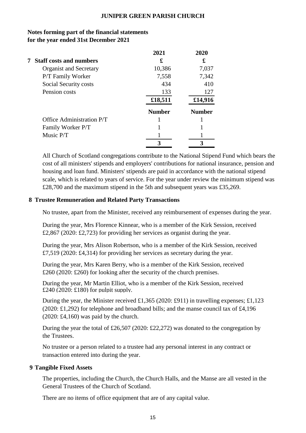|   |                                | 2021          | 2020          |
|---|--------------------------------|---------------|---------------|
| 7 | <b>Staff costs and numbers</b> | £             | £             |
|   | <b>Organist and Secretary</b>  | 10,386        | 7,037         |
|   | P/T Family Worker              | 7,558         | 7,342         |
|   | Social Security costs          | 434           | 410           |
|   | Pension costs                  | 133           | 127           |
|   |                                | £18,511       | £14,916       |
|   |                                | <b>Number</b> | <b>Number</b> |
|   | Office Administration P/T      |               |               |
|   | Family Worker P/T              |               |               |
|   | Music P/T                      |               |               |
|   |                                |               |               |

## **Notes forming part of the financial statements for the year ended 31st December 2021**

All Church of Scotland congregations contribute to the National Stipend Fund which bears the cost of all ministers' stipends and employers' contributions for national insurance, pension and housing and loan fund. Ministers' stipends are paid in accordance with the national stipend scale, which is related to years of service. For the year under review the minimum stipend was £28,700 and the maximum stipend in the 5th and subsequent years was £35,269.

## **8 Trustee Remuneration and Related Party Transactions**

No trustee, apart from the Minister, received any reimbursement of expenses during the year.

During the year, Mrs Florence Kinnear, who is a member of the Kirk Session, received £2,867 (2020: £2,723) for providing her services as organist during the year.

During the year, Mrs Alison Robertson, who is a member of the Kirk Session, received £7,519 (2020: £4,314) for providing her services as secretary during the year.

During the year, Mrs Karen Berry, who is a member of the Kirk Session, received £260 (2020: £260) for looking after the security of the church premises.

During the year, Mr Martin Elliot, who is a member of the Kirk Session, received £240 (2020: £180) for pulpit supply.

During the year, the Minister received £1,365 (2020: £911) in travelling expenses; £1,123 (2020: £1,292) for telephone and broadband bills; and the manse council tax of £4,196 (2020: £4,160) was paid by the church.

During the year the total of £26,507 (2020: £22,272) was donated to the congregation by the Trustees.

No trustee or a person related to a trustee had any personal interest in any contract or transaction entered into during the year.

#### **9 Tangible Fixed Assets**

The properties, including the Church, the Church Halls, and the Manse are all vested in the General Trustees of the Church of Scotland.

There are no items of office equipment that are of any capital value.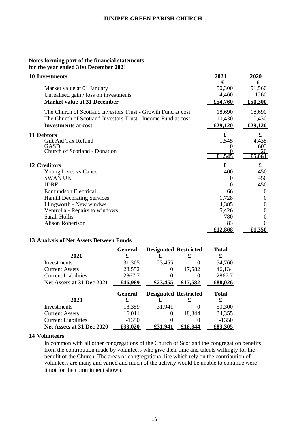#### **Notes forming part of the financial statements for the year ended 31st December 2021**

| <b>10 Investments</b>                                        | 2021<br>£ | 2020                 |
|--------------------------------------------------------------|-----------|----------------------|
| Market value at 01 January                                   | 50,300    | £<br>51,560          |
| Unrealised gain / loss on investments                        | 4,460     | $-1260$              |
| <b>Market value at 31 December</b>                           | £54,760   | £50,300              |
| The Church of Scotland Investors Trust - Growth Fund at cost | 18,690    | 18,690               |
| The Church of Scotland Investors Trust - Income Fund at cost | 10,430    | 10,430               |
| <b>Investments at cost</b>                                   | £29,120   | £29,120              |
| 11 Debtors                                                   | £         | £                    |
| Gift Aid Tax Refund                                          | 1,545     | 4,438                |
| <b>GASD</b>                                                  |           | 603                  |
| <b>Church of Scotland - Donation</b>                         | £1,545    | £5,061               |
| <b>12 Creditors</b>                                          | £         | $\pmb{\mathfrak{X}}$ |
| Young Lives vs Cancer                                        | 400       | 450                  |
| <b>SWAN UK</b>                                               | $\theta$  | 450                  |
| <b>JDRF</b>                                                  | 0         | 450                  |
| <b>Edmundson Electrical</b>                                  | 66        | 0                    |
| <b>Hamill Decorating Services</b>                            | 1,728     | $\Omega$             |
| Illingworth - New windws                                     | 4,385     | 0                    |
| Ventrolla - Repairs to windows                               | 5,426     | 0                    |
| Sarah Hollis                                                 | 780       | $_{0}$               |
| <b>Alison Robertson</b>                                      | 83        |                      |
|                                                              | £12,868   | £1,350               |

#### **13 Analysis of Net Assets Between Funds**

|                            | <b>General</b> | <b>Designated Restricted</b> |         | <b>Total</b> |
|----------------------------|----------------|------------------------------|---------|--------------|
| 2021                       | £              |                              |         |              |
| Investments                | 31,305         | 23,455                       | 0       | 54,760       |
| <b>Current Assets</b>      | 28,552         |                              | 17,582  | 46,134       |
| <b>Current Liabilities</b> | $-12867.7$     |                              |         | $-12867.7$   |
| Net Assets at 31 Dec 2021  | £46,989        | £23,455                      | £17,582 | £88,026      |
|                            |                |                              |         |              |
|                            | General        | <b>Designated Restricted</b> |         | <b>Total</b> |
| 2020                       | £              |                              | £       | £            |
| Investments                | 18,359         | 31,941                       |         | 50,300       |
| <b>Current Assets</b>      | 16,011         | 0                            | 18,344  | 34,355       |
| <b>Current Liabilities</b> | $-1350$        |                              |         | $-1350$      |

#### **14 Volunteers**

In common with all other congregations of the Church of Scotland the congregation benefits from the contribution made by volunteers who give their time and talents willingly for the benefit of the Church. The areas of congregational life which rely on the contribution of volunteers are many and varied and much of the activity would be unable to continue were it not for the commitment shown.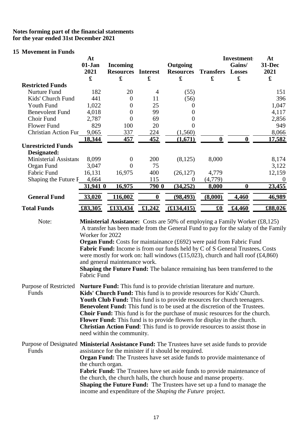#### **Notes forming part of the financial statements for the year ended 31st December 2021**

#### **15 Movement in Funds**

|                                                                                                                                                                                                                                                                                                                                                                                                                                                                                                                                                                                                                                                      | At<br>$01-Jan$<br>2021<br>$\mathbf f$ | <b>Incoming</b><br><b>Resources</b><br>£ | <b>Interest</b><br>£ | Outgoing<br><b>Resources</b><br>£                                                                                                                                                                                                                                                                                          | <b>Transfers</b><br>£            | <b>Investment:</b><br>Gains/<br><b>Losses</b><br>£ | At<br>31-Dec<br>2021<br>$\mathbf f$ |
|------------------------------------------------------------------------------------------------------------------------------------------------------------------------------------------------------------------------------------------------------------------------------------------------------------------------------------------------------------------------------------------------------------------------------------------------------------------------------------------------------------------------------------------------------------------------------------------------------------------------------------------------------|---------------------------------------|------------------------------------------|----------------------|----------------------------------------------------------------------------------------------------------------------------------------------------------------------------------------------------------------------------------------------------------------------------------------------------------------------------|----------------------------------|----------------------------------------------------|-------------------------------------|
| <b>Restricted Funds</b>                                                                                                                                                                                                                                                                                                                                                                                                                                                                                                                                                                                                                              |                                       |                                          |                      |                                                                                                                                                                                                                                                                                                                            |                                  |                                                    |                                     |
| <b>Nurture Fund</b>                                                                                                                                                                                                                                                                                                                                                                                                                                                                                                                                                                                                                                  | 182                                   | 20                                       | $\overline{4}$       | (55)                                                                                                                                                                                                                                                                                                                       |                                  |                                                    | 151                                 |
| Kids' Church Fund                                                                                                                                                                                                                                                                                                                                                                                                                                                                                                                                                                                                                                    | 441                                   | $\boldsymbol{0}$                         | 11                   | (56)                                                                                                                                                                                                                                                                                                                       |                                  |                                                    | 396                                 |
| Youth Fund                                                                                                                                                                                                                                                                                                                                                                                                                                                                                                                                                                                                                                           | 1,022                                 | $\boldsymbol{0}$                         | 25                   | $\overline{0}$                                                                                                                                                                                                                                                                                                             |                                  |                                                    | 1,047                               |
| <b>Benevolent Fund</b>                                                                                                                                                                                                                                                                                                                                                                                                                                                                                                                                                                                                                               | 4,018                                 | $\boldsymbol{0}$                         | 99                   | 0                                                                                                                                                                                                                                                                                                                          |                                  |                                                    | 4,117                               |
| Choir Fund                                                                                                                                                                                                                                                                                                                                                                                                                                                                                                                                                                                                                                           | 2,787                                 | $\boldsymbol{0}$                         | 69                   | 0                                                                                                                                                                                                                                                                                                                          |                                  |                                                    | 2,856                               |
| <b>Flower Fund</b>                                                                                                                                                                                                                                                                                                                                                                                                                                                                                                                                                                                                                                   | 829                                   | 100                                      | 20                   | 0                                                                                                                                                                                                                                                                                                                          |                                  |                                                    | 949                                 |
| <b>Christian Action Fur</b>                                                                                                                                                                                                                                                                                                                                                                                                                                                                                                                                                                                                                          | 9,065                                 | 337                                      | 224                  | (1,560)                                                                                                                                                                                                                                                                                                                    |                                  |                                                    | 8,066                               |
|                                                                                                                                                                                                                                                                                                                                                                                                                                                                                                                                                                                                                                                      | 18,344                                | 457                                      | 452                  | (1,671)                                                                                                                                                                                                                                                                                                                    | $\bf{0}$                         | $\bf{0}$                                           | 17,582                              |
| <b>Unrestricted Funds</b>                                                                                                                                                                                                                                                                                                                                                                                                                                                                                                                                                                                                                            |                                       |                                          |                      |                                                                                                                                                                                                                                                                                                                            |                                  |                                                    |                                     |
| Designated:                                                                                                                                                                                                                                                                                                                                                                                                                                                                                                                                                                                                                                          |                                       |                                          |                      |                                                                                                                                                                                                                                                                                                                            |                                  |                                                    |                                     |
| Ministerial Assistano                                                                                                                                                                                                                                                                                                                                                                                                                                                                                                                                                                                                                                | 8,099                                 | $\overline{0}$                           | 200                  | (8, 125)                                                                                                                                                                                                                                                                                                                   | 8,000                            |                                                    | 8,174                               |
| Organ Fund                                                                                                                                                                                                                                                                                                                                                                                                                                                                                                                                                                                                                                           | 3,047                                 | $\overline{0}$                           | 75                   |                                                                                                                                                                                                                                                                                                                            |                                  |                                                    | 3,122                               |
| Fabric Fund                                                                                                                                                                                                                                                                                                                                                                                                                                                                                                                                                                                                                                          | 16,131                                | 16,975                                   | 400                  | (26, 127)                                                                                                                                                                                                                                                                                                                  | 4,779                            |                                                    | 12,159                              |
| Shaping the Future F                                                                                                                                                                                                                                                                                                                                                                                                                                                                                                                                                                                                                                 | 4,664                                 |                                          | 115                  | $\theta$                                                                                                                                                                                                                                                                                                                   | (4,779)                          |                                                    | $\overline{0}$                      |
|                                                                                                                                                                                                                                                                                                                                                                                                                                                                                                                                                                                                                                                      | 31,941 0                              | 16,975                                   | 790 0                | (34, 252)                                                                                                                                                                                                                                                                                                                  | 8,000                            | $\boldsymbol{0}$                                   | 23,455                              |
| <b>General Fund</b>                                                                                                                                                                                                                                                                                                                                                                                                                                                                                                                                                                                                                                  | 33,020                                | 116,002                                  | $\boldsymbol{0}$     | (98, 493)                                                                                                                                                                                                                                                                                                                  | (8,000)                          | 4,460                                              | 46,989                              |
| <b>Total Funds</b>                                                                                                                                                                                                                                                                                                                                                                                                                                                                                                                                                                                                                                   | £83,305                               | $\sqrt{133,434}$                         | £1,242               | (E134, 415)                                                                                                                                                                                                                                                                                                                | $\pmb{\pmb{\pmb{\mathfrak{g}}}}$ | £4,460                                             | £88,026                             |
| Note:<br><b>Ministerial Assistance:</b> Costs are 50% of employing a Family Worker $(\text{\pounds}8,125)$<br>A transfer has been made from the General Fund to pay for the salaty of the Family<br>Worker for 2022<br><b>Organ Fund:</b> Costs for maintainance (£692) were paid from Fabric Fund<br>Fabric Fund: Income is from our funds held by C of S General Trustees. Costs<br>were mostly for work on: hall windows $(\text{\textsterling}15,023)$ , church and hall roof $(\text{\textsterling}4,860)$<br>and general maintenance work.<br><b>Shaping the Future Fund:</b> The balance remaining has been transferred to the<br>Fabric Fund |                                       |                                          |                      |                                                                                                                                                                                                                                                                                                                            |                                  |                                                    |                                     |
| <b>Purpose of Restricted</b><br>Funds                                                                                                                                                                                                                                                                                                                                                                                                                                                                                                                                                                                                                |                                       |                                          |                      | <b>Nurture Fund:</b> This fund is to provide christian literature and nurture.<br>Kids' Church Fund: This fund is to provide resources for Kids' Church.<br>Youth Club Fund: This fund is to provide resources for church teenagers.<br><b>Benevolent Fund:</b> This fund is to be used at the discretion of the Trustees. |                                  |                                                    |                                     |

**Choir Fund:** This fund is for the purchase of music resources for the church. **Flower Fund:** This fund is to provide flowers for display in the church. **Christian Action Fund**: This fund is to provide resources to assist those in need within the community.

Purpose of Designated **Ministerial Assistance Fund:** The Trustees have set aside funds to provide assistance for the minister if it should be required. **Organ Fund:** The Trustees have set aside funds to provide maintenance of the church organ. **Fabric Fund:** The Trustees have set aside funds to provide maintenance of the church, the church halls, the church house and manse property. **Shaping the Future Fund:** The Trustees have set up a fund to manage the income and expenditure of the *Shaping the Future* project.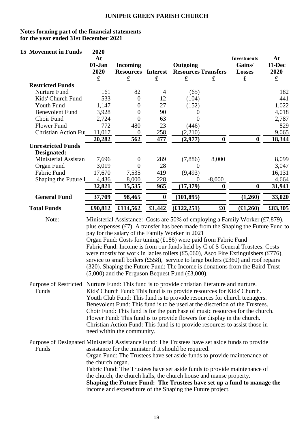#### **Notes forming part of the financial statements for the year ended 31st December 2021**

| <b>15 Movement in Funds</b>                                                                              | 2020<br>At<br>01-Jan<br>2020<br>$\mathbf f$                                                                                                                                                                                                                                                                                                                                                                                                                                                                                                                                                                                                            | <b>Incoming</b><br><b>Resources Interest</b><br>£ | £                | Outgoing<br><b>Resources Transfers</b><br>$\pmb{\mathfrak{L}}$                                                                                                                           | £                                | <b>Investments</b><br>Gains/<br><b>Losses</b><br>£                                                                                                                                                                                                                                                                     | At<br>31-Dec<br>2020<br>$\mathbf f$ |
|----------------------------------------------------------------------------------------------------------|--------------------------------------------------------------------------------------------------------------------------------------------------------------------------------------------------------------------------------------------------------------------------------------------------------------------------------------------------------------------------------------------------------------------------------------------------------------------------------------------------------------------------------------------------------------------------------------------------------------------------------------------------------|---------------------------------------------------|------------------|------------------------------------------------------------------------------------------------------------------------------------------------------------------------------------------|----------------------------------|------------------------------------------------------------------------------------------------------------------------------------------------------------------------------------------------------------------------------------------------------------------------------------------------------------------------|-------------------------------------|
| <b>Restricted Funds</b>                                                                                  |                                                                                                                                                                                                                                                                                                                                                                                                                                                                                                                                                                                                                                                        |                                                   |                  |                                                                                                                                                                                          |                                  |                                                                                                                                                                                                                                                                                                                        |                                     |
| Nurture Fund                                                                                             | 161                                                                                                                                                                                                                                                                                                                                                                                                                                                                                                                                                                                                                                                    | 82                                                | 4                | (65)                                                                                                                                                                                     |                                  |                                                                                                                                                                                                                                                                                                                        | 182                                 |
| Kids' Church Fund                                                                                        | 533                                                                                                                                                                                                                                                                                                                                                                                                                                                                                                                                                                                                                                                    | $\theta$                                          | 12               | (104)                                                                                                                                                                                    |                                  |                                                                                                                                                                                                                                                                                                                        | 441                                 |
| Youth Fund                                                                                               | 1,147                                                                                                                                                                                                                                                                                                                                                                                                                                                                                                                                                                                                                                                  | $\overline{0}$                                    | 27               | (152)                                                                                                                                                                                    |                                  |                                                                                                                                                                                                                                                                                                                        | 1,022                               |
| <b>Benevolent Fund</b>                                                                                   | 3,928                                                                                                                                                                                                                                                                                                                                                                                                                                                                                                                                                                                                                                                  | $\boldsymbol{0}$                                  | 90               | $\theta$                                                                                                                                                                                 |                                  |                                                                                                                                                                                                                                                                                                                        | 4,018                               |
| Choir Fund                                                                                               | 2,724                                                                                                                                                                                                                                                                                                                                                                                                                                                                                                                                                                                                                                                  | $\boldsymbol{0}$                                  | 63               | 0                                                                                                                                                                                        |                                  |                                                                                                                                                                                                                                                                                                                        | 2,787                               |
| <b>Flower Fund</b>                                                                                       | 772                                                                                                                                                                                                                                                                                                                                                                                                                                                                                                                                                                                                                                                    | 480                                               | 23               | (446)                                                                                                                                                                                    |                                  |                                                                                                                                                                                                                                                                                                                        | 829                                 |
| <b>Christian Action Fun</b>                                                                              | 11,017                                                                                                                                                                                                                                                                                                                                                                                                                                                                                                                                                                                                                                                 | $\overline{0}$                                    | 258              | (2,210)                                                                                                                                                                                  |                                  |                                                                                                                                                                                                                                                                                                                        | 9,065                               |
| <b>Unrestricted Funds</b>                                                                                | 20,282                                                                                                                                                                                                                                                                                                                                                                                                                                                                                                                                                                                                                                                 | 562                                               | 477              | (2,977)                                                                                                                                                                                  | $\boldsymbol{0}$                 | $\boldsymbol{0}$                                                                                                                                                                                                                                                                                                       | 18,344                              |
| Designated:                                                                                              |                                                                                                                                                                                                                                                                                                                                                                                                                                                                                                                                                                                                                                                        |                                                   |                  |                                                                                                                                                                                          |                                  |                                                                                                                                                                                                                                                                                                                        |                                     |
| Ministerial Assistan                                                                                     | 7,696                                                                                                                                                                                                                                                                                                                                                                                                                                                                                                                                                                                                                                                  | $\boldsymbol{0}$                                  | 289              | (7,886)                                                                                                                                                                                  | 8,000                            |                                                                                                                                                                                                                                                                                                                        | 8,099                               |
| Organ Fund                                                                                               | 3,019                                                                                                                                                                                                                                                                                                                                                                                                                                                                                                                                                                                                                                                  | $\overline{0}$                                    | 28               | $\boldsymbol{0}$                                                                                                                                                                         |                                  |                                                                                                                                                                                                                                                                                                                        | 3,047                               |
| Fabric Fund                                                                                              | 17,670                                                                                                                                                                                                                                                                                                                                                                                                                                                                                                                                                                                                                                                 | 7,535                                             | 419              | (9, 493)                                                                                                                                                                                 |                                  |                                                                                                                                                                                                                                                                                                                        | 16,131                              |
| Shaping the Future I                                                                                     | 4,436                                                                                                                                                                                                                                                                                                                                                                                                                                                                                                                                                                                                                                                  | 8,000                                             | 228              | 0                                                                                                                                                                                        | $-8,000$                         |                                                                                                                                                                                                                                                                                                                        | 4,664                               |
|                                                                                                          | 32,821                                                                                                                                                                                                                                                                                                                                                                                                                                                                                                                                                                                                                                                 | <u>15,535</u>                                     | 965              | (17,379)                                                                                                                                                                                 | $\boldsymbol{0}$                 | $\boldsymbol{0}$                                                                                                                                                                                                                                                                                                       | 31,941                              |
| <b>General Fund</b>                                                                                      | 37,709                                                                                                                                                                                                                                                                                                                                                                                                                                                                                                                                                                                                                                                 | 98,465                                            | $\boldsymbol{0}$ | (101, 895)                                                                                                                                                                               |                                  | (1,260)                                                                                                                                                                                                                                                                                                                | 33,020                              |
| <b>Total Funds</b>                                                                                       | £90,812                                                                                                                                                                                                                                                                                                                                                                                                                                                                                                                                                                                                                                                | £114,562                                          | £1,442           | (f122,251)                                                                                                                                                                               | $\pmb{\pmb{\pmb{\mathfrak{g}}}}$ | (f1,260)                                                                                                                                                                                                                                                                                                               | £83,305                             |
|                                                                                                          | plus expenses $(f7)$ . A transfer has been made from the Shaping the Future Fund to<br>pay for the salary of the Family Worker in 2021<br>Organ Fund: Costs for tuning (£186) were paid from Fabric Fund<br>Fabric Fund: Income is from our funds held by C of S General Trustees. Costs<br>were mostly for work in ladies toilets $(\text{\pounds}5,060)$ , Asco Fire Extinguishers $(\text{\pounds}776)$ ,<br>service to small boilers (£558), service to large boilers (£360) and roof repairs<br>(320). Shaping the Future Fund: The Income is donations from the Baird Trust<br>$(5,000)$ and the Ferguson Bequest Fund $(\text{\pounds}3,000)$ . |                                                   |                  |                                                                                                                                                                                          |                                  |                                                                                                                                                                                                                                                                                                                        |                                     |
| Purpose of Restricted Nurture Fund: This fund is to provide christian literature and nurture.<br>Funds   |                                                                                                                                                                                                                                                                                                                                                                                                                                                                                                                                                                                                                                                        | need within the community.                        |                  | Kids' Church Fund: This fund is to provide resources for Kids' Church.<br>Flower Fund: This fund is to provide flowers for display in the church.                                        |                                  | Youth Club Fund: This fund is to provide resources for church teenagers.<br>Benevolent Fund: This fund is to be used at the discretion of the Trustees.<br>Choir Fund: This fund is for the purchase of music resources for the church.<br>Christian Action Fund: This fund is to provide resources to assist those in |                                     |
| Purpose of Designated Ministerial Assistance Fund: The Trustees have set aside funds to provide<br>Funds | the church organ.                                                                                                                                                                                                                                                                                                                                                                                                                                                                                                                                                                                                                                      |                                                   |                  | assistance for the minister if it should be required.<br>the church, the church halls, the church house and manse property.<br>income and expenditure of the Shaping the Future project. |                                  | Organ Fund: The Trustees have set aside funds to provide maintenance of<br>Fabric Fund: The Trustees have set aside funds to provide maintenance of<br>Shaping the Future Fund: The Trustees have set up a fund to manage the                                                                                          |                                     |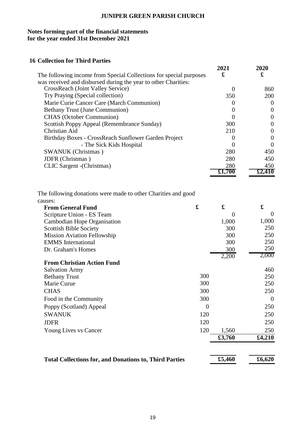# **Notes forming part of the financial statements for the year ended 31st December 2021**

# **16 Collection for Third Parties**

|                                                                    | 2021   | 2020              |
|--------------------------------------------------------------------|--------|-------------------|
| The following income from Special Collections for special purposes | £      | £                 |
| was received and disbursed during the year to other Charities:     |        |                   |
| CrossReach (Joint Valley Service)                                  |        | 860               |
| Try Praying (Special collection)                                   | 350    | 200               |
| Marie Curie Cancer Care (March Communion)                          |        | $\theta$          |
| <b>Bethany Trust (June Communion)</b>                              |        | $\theta$          |
| <b>CHAS</b> (October Communion)                                    |        | $\theta$          |
| Scottish Poppy Appeal (Remembrance Sunday)                         | 300    | $\theta$          |
| Christian Aid                                                      | 210    | $\mathbf{\Omega}$ |
| Birthday Boxes - CrossReach Sunflower Garden Project               |        | $\theta$          |
| - The Sick Kids Hospital                                           |        | $\theta$          |
| <b>SWANUK</b> (Christmas)                                          | 280    | 450               |
| JDFR (Christmas)                                                   | 280    | 450               |
| CLIC Sargent - (Christmas)                                         | 280    | 450               |
|                                                                    | £1,700 | £2,410            |

The following donations were made to other Charities and good causes:

| <b>From General Fund</b>                                      | £        | £      | £        |
|---------------------------------------------------------------|----------|--------|----------|
| Scripture Union - ES Team                                     |          | 0      | $\Omega$ |
| Cambodian Hope Organisation                                   |          | 1,000  | 1,000    |
| <b>Scottish Bible Society</b>                                 |          | 300    | 250      |
| <b>Mission Aviation Fellowship</b>                            |          | 300    | 250      |
| <b>EMMS</b> International                                     |          | 300    | 250      |
| Dr. Graham's Homes                                            |          | 300    | 250      |
|                                                               |          | 2,200  | 2,000    |
| <b>From Christian Action Fund</b>                             |          |        |          |
| <b>Salvation Army</b>                                         |          |        | 460      |
| <b>Bethany Trust</b>                                          | 300      |        | 250      |
| Marie Curue                                                   | 300      |        | 250      |
| <b>CHAS</b>                                                   | 300      |        | 250      |
| Food in the Community                                         | 300      |        | $\Omega$ |
| Poppy (Scotland) Appeal                                       | $\theta$ |        | 250      |
| <b>SWANUK</b>                                                 | 120      |        | 250      |
| <b>JDFR</b>                                                   | 120      |        | 250      |
| Young Lives vs Cancer                                         | 120      | 1,560  | 250      |
|                                                               |          | £3,760 | £4,210   |
| <b>Total Collections for, and Donations to, Third Parties</b> |          | £5,460 | £6,620   |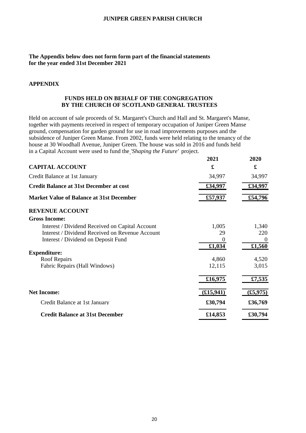#### **The Appendix below does not form form part of the financial statements for the year ended 31st December 2021**

#### **APPENDIX**

#### **FUNDS HELD ON BEHALF OF THE CONGREGATION BY THE CHURCH OF SCOTLAND GENERAL TRUSTEES**

Held on account of sale proceeds of St. Margaret's Church and Hall and St. Margaret's Manse, together with payments received in respect of temporary occupation of Juniper Green Manse ground, compensation for garden ground for use in road improvements purposes and the subsidence of Juniper Green Manse. From 2002, funds were held relating to the tenancy of the house at 30 Woodhall Avenue, Juniper Green. The house was sold in 2016 and funds held in a Capital Account were used to fund the *'Shaping the Future'* project.

|                                                 | 2021       | 2020           |
|-------------------------------------------------|------------|----------------|
| <b>CAPITAL ACCOUNT</b>                          | £          | £              |
| Credit Balance at 1st January                   | 34,997     | 34,997         |
| <b>Credit Balance at 31st December at cost</b>  | £34,997    | £34,997        |
| <b>Market Value of Balance at 31st December</b> | £57,937    | £54,796        |
| <b>REVENUE ACCOUNT</b>                          |            |                |
| <b>Gross Income:</b>                            |            |                |
| Interest / Dividend Received on Capital Account | 1,005      | 1,340          |
| Interest / Dividend Received on Revenue Account | 29         | 220            |
| Interest / Dividend on Deposit Fund             | $\theta$   | $\overline{0}$ |
|                                                 | £1,034     | £1,560         |
| <b>Expenditure:</b>                             |            |                |
| Roof Repairs                                    | 4,860      | 4,520          |
| Fabric Repairs (Hall Windows)                   | 12,115     | 3,015          |
|                                                 | £16,975    | £7,535         |
| <b>Net Income:</b>                              | (E15, 941) | (f5, 975)      |
| Credit Balance at 1st January                   | £30,794    | £36,769        |
| <b>Credit Balance at 31st December</b>          | £14,853    | £30,794        |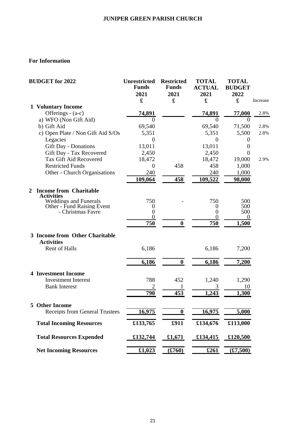# **For Information**

|                | <b>BUDGET</b> for 2022                              | <b>Unrestricted</b><br><b>Funds</b><br>2021<br>£ | <b>Restricted</b><br><b>Funds</b><br>2021<br>£ | <b>TOTAL</b><br><b>ACTUAL</b><br>2021<br>£ | <b>TOTAL</b><br><b>BUDGET</b><br>2022<br>£ | Increase |
|----------------|-----------------------------------------------------|--------------------------------------------------|------------------------------------------------|--------------------------------------------|--------------------------------------------|----------|
|                | <b>1 Voluntary Income</b>                           |                                                  |                                                |                                            |                                            |          |
|                | Offerings - (a-c)                                   | 74,891                                           |                                                | 74,891                                     | 77,000                                     | 2.8%     |
|                | a) WFO (Non Gift Aid)                               | $\theta$                                         |                                                | $\theta$                                   | $\theta$                                   |          |
|                | b) Gift Aid                                         | 69,540                                           |                                                | 69,540                                     | 71,500                                     | 2.8%     |
|                | c) Open Plate / Non Gift Aid S/Os                   | 5,351                                            |                                                | 5,351                                      | 5,500                                      | 2.8%     |
|                | Legacies                                            | $\boldsymbol{0}$                                 |                                                | $\theta$                                   | $\boldsymbol{0}$                           |          |
|                | <b>Gift Day - Donations</b>                         | 13,011                                           |                                                | 13,011                                     | $\boldsymbol{0}$                           |          |
|                | Gift Day - Tax Recovered                            | 2,450                                            |                                                | 2,450                                      | $\boldsymbol{0}$                           |          |
|                | Tax Gift Aid Recovered                              | 18,472                                           |                                                | 18,472                                     | 19,000                                     | 2.9%     |
|                | <b>Restricted Funds</b>                             | $\boldsymbol{0}$                                 | 458                                            | 458                                        | 1,000                                      |          |
|                | Other - Church Organisations                        | 240                                              |                                                | 240                                        | 1,000                                      |          |
|                |                                                     | 109,064                                          | 458                                            | 109,522                                    | 98,000                                     |          |
| $\overline{2}$ | <b>Income from Charitable</b><br><b>Activities</b>  |                                                  |                                                |                                            |                                            |          |
|                | <b>Weddings and Funerals</b>                        | 750                                              |                                                | 750                                        | 500                                        |          |
|                | <b>Other - Fund Raising Event</b>                   | 0                                                |                                                | 0                                          | 500                                        |          |
|                | - Christmas Fayre                                   | $\boldsymbol{0}$<br>$\overline{0}$               |                                                | 0<br>$\theta$                              | 500<br>$\theta$                            |          |
|                |                                                     | 750                                              | $\bf{0}$                                       | 750                                        | 1,500                                      |          |
|                |                                                     |                                                  |                                                |                                            |                                            |          |
|                | 3 Income from Other Charitable<br><b>Activities</b> |                                                  |                                                |                                            |                                            |          |
|                | Rent of Halls                                       | 6,186                                            |                                                | 6,186                                      | 7,200                                      |          |
|                |                                                     | 6,186                                            | $\bf{0}$                                       | 6,186                                      | 7,200                                      |          |
|                | <b>4 Investment Income</b>                          |                                                  |                                                |                                            |                                            |          |
|                | <b>Investment Interest</b>                          | 788                                              | 452                                            | 1,240                                      | 1,290                                      |          |
|                | <b>Bank Interest</b>                                |                                                  |                                                |                                            | 10                                         |          |
|                |                                                     | 790                                              | 453                                            | 1,243                                      | 1,300                                      |          |
|                | 5 Other Income                                      |                                                  |                                                |                                            |                                            |          |
|                | <b>Receipts from General Trustees</b>               | 16,975                                           | $\boldsymbol{0}$                               | 16,975                                     | 5,000                                      |          |
|                | <b>Total Incoming Resources</b>                     | £133,765                                         | £911                                           | £134,676                                   | £113,000                                   |          |
|                | <b>Total Resources Expended</b>                     | £132,744                                         | £1,671                                         | £134,415                                   | £120,500                                   |          |
|                | <b>Net Incoming Resources</b>                       | £1,023                                           | (\$760)                                        | £261                                       | (\$7,500)                                  |          |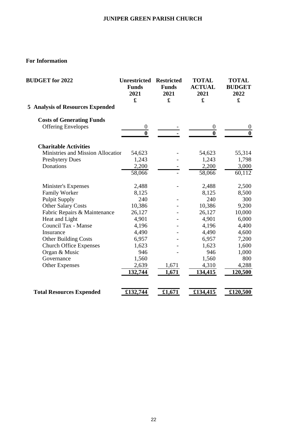# **For Information**

| <b>BUDGET</b> for 2022                  | <b>Unrestricted</b><br><b>Funds</b><br>2021<br>£ | <b>Restricted</b><br><b>Funds</b><br>2021<br>£ | <b>TOTAL</b><br><b>ACTUAL</b><br>2021<br>$\mathbf f$ | <b>TOTAL</b><br><b>BUDGET</b><br>2022<br>£ |
|-----------------------------------------|--------------------------------------------------|------------------------------------------------|------------------------------------------------------|--------------------------------------------|
| <b>5 Analysis of Resources Expended</b> |                                                  |                                                |                                                      |                                            |
| <b>Costs of Generating Funds</b>        |                                                  |                                                |                                                      |                                            |
| <b>Offering Envelopes</b>               | $\boldsymbol{0}$<br>$\bf{0}$                     |                                                | $\boldsymbol{0}$<br>$\bf{0}$                         | $\theta$<br>$\bf{0}$                       |
| <b>Charitable Activities</b>            |                                                  |                                                |                                                      |                                            |
| Ministries and Mission Allocation       | 54,623                                           |                                                | 54,623                                               | 55,314                                     |
| <b>Presbytery Dues</b>                  | 1,243                                            |                                                | 1,243                                                | 1,798                                      |
| Donations                               | 2,200                                            |                                                | 2,200                                                | 3,000                                      |
|                                         | 58,066                                           |                                                | $\overline{58,066}$                                  | $\overline{60,}112$                        |
| Minister's Expenses                     | 2,488                                            |                                                | 2,488                                                | 2,500                                      |
| Family Worker                           | 8,125                                            |                                                | 8,125                                                | 8,500                                      |
| <b>Pulpit Supply</b>                    | 240                                              |                                                | 240                                                  | 300                                        |
| <b>Other Salary Costs</b>               | 10,386                                           |                                                | 10,386                                               | 9,200                                      |
| Fabric Repairs & Maintenance            | 26,127                                           |                                                | 26,127                                               | 10,000                                     |
| Heat and Light                          | 4,901                                            |                                                | 4,901                                                | 6,000                                      |
| Council Tax - Manse                     | 4,196                                            |                                                | 4,196                                                | 4,400                                      |
| Insurance                               | 4,490                                            |                                                | 4,490                                                | 4,600                                      |
| <b>Other Building Costs</b>             | 6,957                                            |                                                | 6,957                                                | 7,200                                      |
| <b>Church Office Expenses</b>           | 1,623                                            |                                                | 1,623                                                | 1,600                                      |
| Organ & Music                           | 946                                              |                                                | 946                                                  | 1,000                                      |
| Governance                              | 1,560                                            |                                                | 1,560                                                | 800                                        |
| <b>Other Expenses</b>                   | 2,639                                            | 1,671                                          | 4,310                                                | 4,288                                      |
|                                         | 132,744                                          | 1,671                                          | 134,415                                              | 120,500                                    |
|                                         |                                                  |                                                |                                                      |                                            |
| <b>Total Resources Expended</b>         | £132,744                                         | £1,671                                         | £134,415                                             | £120,500                                   |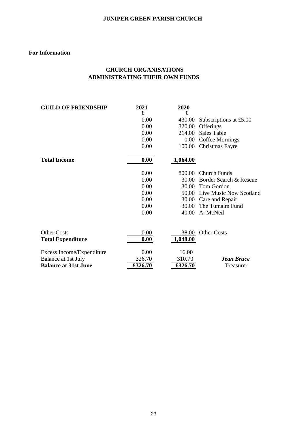#### **For Information**

# **CHURCH ORGANISATIONS ADMINISTRATING THEIR OWN FUNDS**

| <b>GUILD OF FRIENDSHIP</b>  | 2021    | 2020     |                         |
|-----------------------------|---------|----------|-------------------------|
|                             | £       | £        |                         |
|                             | 0.00    | 430.00   | Subscriptions at £5.00  |
|                             | 0.00    | 320.00   | Offerings               |
|                             | 0.00    | 214.00   | <b>Sales Table</b>      |
|                             | 0.00    | 0.00     | Coffee Mornings         |
|                             | 0.00    | 100.00   | Christmas Fayre         |
| <b>Total Income</b>         | 0.00    | 1,064.00 |                         |
|                             | 0.00    | 800.00   | <b>Church Funds</b>     |
|                             | 0.00    | 30.00    | Border Search & Rescue  |
|                             | 0.00    | 30.00    | Tom Gordon              |
|                             | 0.00    | 50.00    | Live Music Now Scotland |
|                             | 0.00    | 30.00    | Care and Repair         |
|                             | 0.00    | 30.00    | The Tumaim Fund         |
|                             | 0.00    | 40.00    | A. McNeil               |
| <b>Other Costs</b>          | 0.00    | 38.00    | <b>Other Costs</b>      |
|                             |         |          |                         |
| <b>Total Expenditure</b>    | 0.00    | 1,048.00 |                         |
| Excess Income/Expenditure   | 0.00    | 16.00    |                         |
| Balance at 1st July         | 326.70  | 310.70   | <b>Jean Bruce</b>       |
| <b>Balance at 31st June</b> | £326.70 | £326.70  | Treasurer               |